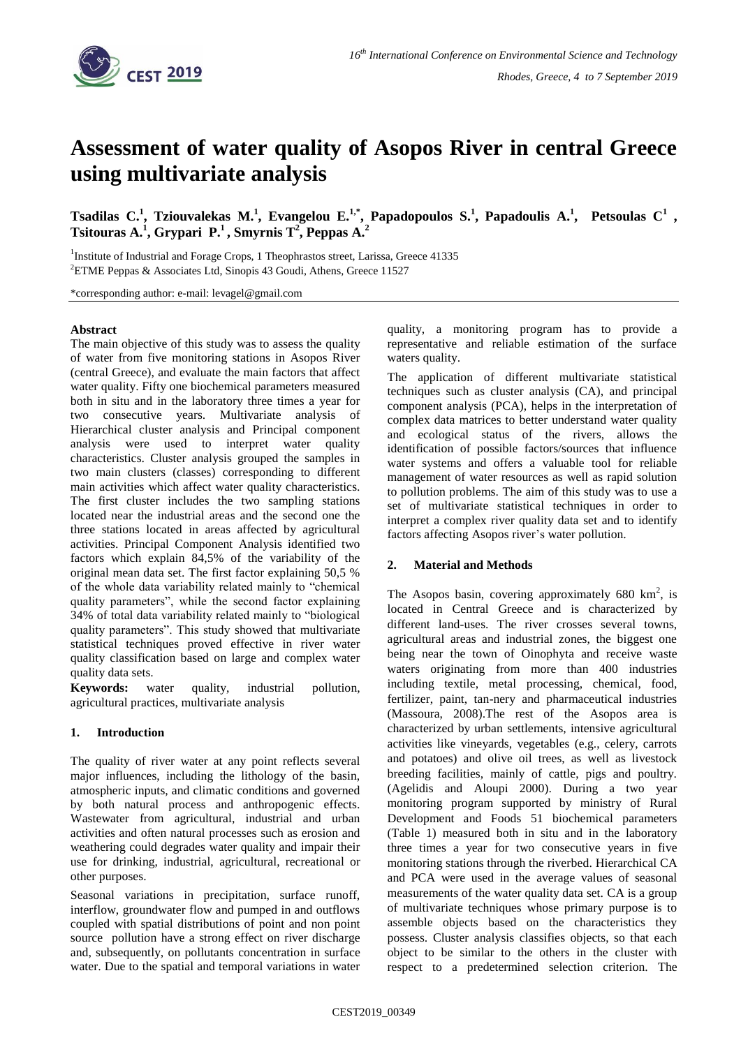

# **Assessment of water quality of Asopos River in central Greece using multivariate analysis**

**Tsadilas C.<sup>1</sup> , Tziouvalekas M.<sup>1</sup> , Evangelou E.1,\* , Papadopoulos S.<sup>1</sup> , Papadoulis A.<sup>1</sup> , Petsoulas C<sup>1</sup> , Tsitouras A.<sup>1</sup> , Grypari P.<sup>1</sup> , Smyrnis T<sup>2</sup> , Peppas A.<sup>2</sup>**

<sup>1</sup>Institute of Industrial and Forage Crops, 1 Theophrastos street, Larissa, Greece 41335 <sup>2</sup>ETME Peppas & Associates Ltd, Sinopis 43 Goudi, Athens, Greece 11527

\*corresponding author: e-mail: levagel@gmail.com

### **Abstract**

The main objective of this study was to assess the quality of water from five monitoring stations in Asopos River (central Greece), and evaluate the main factors that affect water quality. Fifty one biochemical parameters measured both in situ and in the laboratory three times a year for two consecutive years. Multivariate analysis of Hierarchical cluster analysis and Principal component analysis were used to interpret water quality characteristics. Cluster analysis grouped the samples in two main clusters (classes) corresponding to different main activities which affect water quality characteristics. The first cluster includes the two sampling stations located near the industrial areas and the second one the three stations located in areas affected by agricultural activities. Principal Component Analysis identified two factors which explain 84,5% of the variability of the original mean data set. The first factor explaining 50,5 % of the whole data variability related mainly to "chemical quality parameters", while the second factor explaining 34% of total data variability related mainly to "biological quality parameters". This study showed that multivariate statistical techniques proved effective in river water quality classification based on large and complex water quality data sets.

**Keywords:** water quality, industrial pollution, agricultural practices, multivariate analysis

### **1. Introduction**

The quality of river water at any point reflects several major influences, including the lithology of the basin, atmospheric inputs, and climatic conditions and governed by both natural process and anthropogenic effects. Wastewater from agricultural, industrial and urban activities and often natural processes such as erosion and weathering could degrades water quality and impair their use for drinking, industrial, agricultural, recreational or other purposes.

Seasonal variations in precipitation, surface runoff, interflow, groundwater flow and pumped in and outflows coupled with spatial distributions of point and non point source pollution have a strong effect on river discharge and, subsequently, on pollutants concentration in surface water. Due to the spatial and temporal variations in water quality, a monitoring program has to provide a representative and reliable estimation of the surface waters quality.

The application of different multivariate statistical techniques such as cluster analysis (CA), and principal component analysis (PCA), helps in the interpretation of complex data matrices to better understand water quality and ecological status of the rivers, allows the identification of possible factors/sources that influence water systems and offers a valuable tool for reliable management of water resources as well as rapid solution to pollution problems. The aim of this study was to use a set of multivariate statistical techniques in order to interpret a complex river quality data set and to identify factors affecting Asopos river's water pollution.

### **2. Material and Methods**

The Asopos basin, covering approximately  $680 \text{ km}^2$ , is located in Central Greece and is characterized by different land-uses. The river crosses several towns, agricultural areas and industrial zones, the biggest one being near the town of Oinophyta and receive waste waters originating from more than 400 industries including textile, metal processing, chemical, food, fertilizer, paint, tan-nery and pharmaceutical industries (Massoura, 2008).The rest of the Asopos area is characterized by urban settlements, intensive agricultural activities like vineyards, vegetables (e.g., celery, carrots and potatoes) and olive oil trees, as well as livestock breeding facilities, mainly of cattle, pigs and poultry. (Agelidis and Aloupi 2000). During a two year monitoring program supported by ministry of Rural Development and Foods 51 biochemical parameters (Table 1) measured both in situ and in the laboratory three times a year for two consecutive years in five monitoring stations through the riverbed. Hierarchical CA and PCA were used in the average values of seasonal measurements of the water quality data set. CA is a group of multivariate techniques whose primary purpose is to assemble objects based on the characteristics they possess. Cluster analysis classifies objects, so that each object to be similar to the others in the cluster with respect to a predetermined selection criterion. The